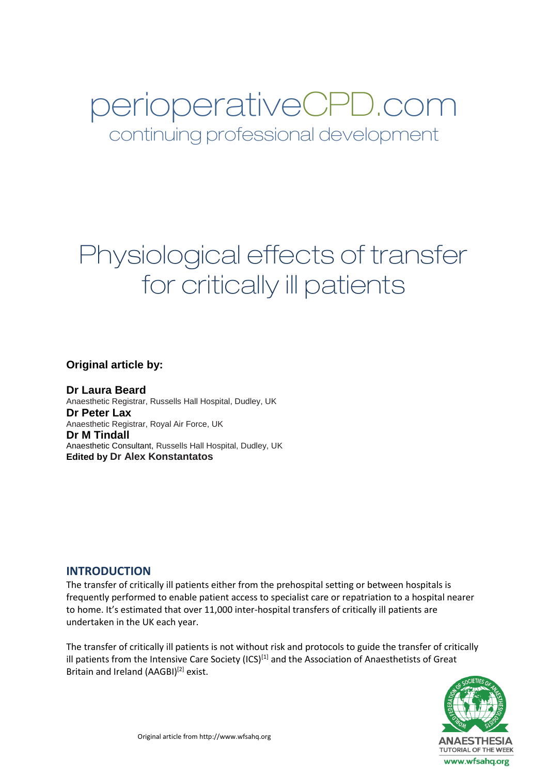# perioperativeCPD.com continuing professional development

# Physiological effects of transfer for critically ill patients

**Original article by:**

**Dr Laura Beard** Anaesthetic Registrar, Russells Hall Hospital, Dudley, UK **Dr Peter Lax** Anaesthetic Registrar, Royal Air Force, UK **Dr M Tindall** Anaesthetic Consultant, Russells Hall Hospital, Dudley, UK **Edited by Dr Alex Konstantatos**

#### **INTRODUCTION**

The transfer of critically ill patients either from the prehospital setting or between hospitals is frequently performed to enable patient access to specialist care or repatriation to a hospital nearer to home. It's estimated that over 11,000 inter-hospital transfers of critically ill patients are undertaken in the UK each year.

The transfer of critically ill patients is not without risk and protocols to guide the transfer of critically ill patients from the Intensive Care Society  $(ICS)^{[1]}$  and the Association of Anaesthetists of Great Britain and Ireland (AAGBI)<sup>[2]</sup> exist.

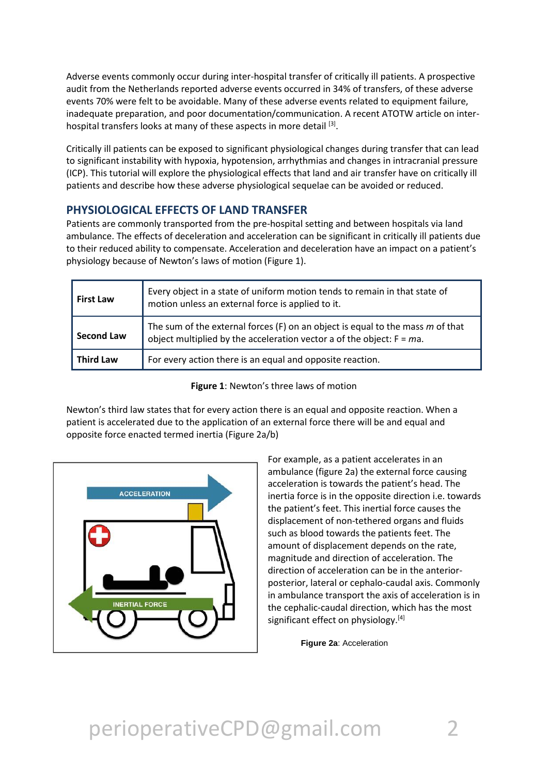Adverse events commonly occur during inter-hospital transfer of critically ill patients. A prospective audit from the Netherlands reported adverse events occurred in 34% of transfers, of these adverse events 70% were felt to be avoidable. Many of these adverse events related to equipment failure, inadequate preparation, and poor documentation/communication. A recent ATOTW article on interhospital transfers looks at many of these aspects in more detail [3].

Critically ill patients can be exposed to significant physiological changes during transfer that can lead to significant instability with hypoxia, hypotension, arrhythmias and changes in intracranial pressure (ICP). This tutorial will explore the physiological effects that land and air transfer have on critically ill patients and describe how these adverse physiological sequelae can be avoided or reduced.

### **PHYSIOLOGICAL EFFECTS OF LAND TRANSFER**

Patients are commonly transported from the pre-hospital setting and between hospitals via land ambulance. The effects of deceleration and acceleration can be significant in critically ill patients due to their reduced ability to compensate. Acceleration and deceleration have an impact on a patient's physiology because of Newton's laws of motion (Figure 1).

| <b>First Law</b>  | Every object in a state of uniform motion tends to remain in that state of<br>motion unless an external force is applied to it.                              |  |
|-------------------|--------------------------------------------------------------------------------------------------------------------------------------------------------------|--|
| <b>Second Law</b> | The sum of the external forces (F) on an object is equal to the mass $m$ of that<br>object multiplied by the acceleration vector a of the object: $F = ma$ . |  |
| <b>Third Law</b>  | For every action there is an equal and opposite reaction.                                                                                                    |  |

**Figure 1**: Newton's three laws of motion

Newton's third law states that for every action there is an equal and opposite reaction. When a patient is accelerated due to the application of an external force there will be and equal and opposite force enacted termed inertia (Figure 2a/b)



For example, as a patient accelerates in an ambulance (figure 2a) the external force causing acceleration is towards the patient's head. The inertia force is in the opposite direction i.e. towards the patient's feet. This inertial force causes the displacement of non-tethered organs and fluids such as blood towards the patients feet. The amount of displacement depends on the rate, magnitude and direction of acceleration. The direction of acceleration can be in the anteriorposterior, lateral or cephalo-caudal axis. Commonly in ambulance transport the axis of acceleration is in the cephalic-caudal direction, which has the most significant effect on physiology.<sup>[4]</sup>

**Figure 2a**: Acceleration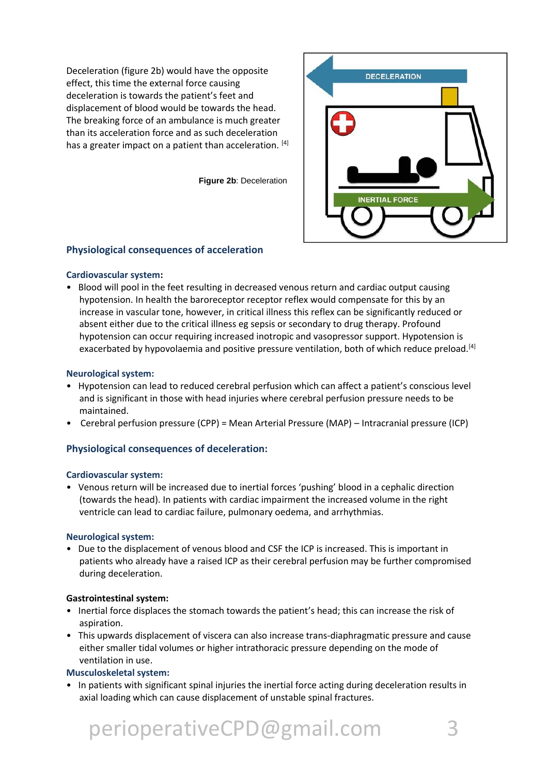Deceleration (figure 2b) would have the opposite effect, this time the external force causing deceleration is towards the patient's feet and displacement of blood would be towards the head. The breaking force of an ambulance is much greater than its acceleration force and as such deceleration has a greater impact on a patient than acceleration. [4]

**Figure 2b**: Deceleration



#### **Physiological consequences of acceleration**

#### **Cardiovascular system:**

• Blood will pool in the feet resulting in decreased venous return and cardiac output causing hypotension. In health the baroreceptor receptor reflex would compensate for this by an increase in vascular tone, however, in critical illness this reflex can be significantly reduced or absent either due to the critical illness eg sepsis or secondary to drug therapy. Profound hypotension can occur requiring increased inotropic and vasopressor support. Hypotension is exacerbated by hypovolaemia and positive pressure ventilation, both of which reduce preload.<sup>[4]</sup>

#### **Neurological system:**

- Hypotension can lead to reduced cerebral perfusion which can affect a patient's conscious level and is significant in those with head injuries where cerebral perfusion pressure needs to be maintained.
- Cerebral perfusion pressure (CPP) = Mean Arterial Pressure (MAP) Intracranial pressure (ICP)

#### **Physiological consequences of deceleration:**

#### **Cardiovascular system:**

• Venous return will be increased due to inertial forces 'pushing' blood in a cephalic direction (towards the head). In patients with cardiac impairment the increased volume in the right ventricle can lead to cardiac failure, pulmonary oedema, and arrhythmias.

#### **Neurological system:**

• Due to the displacement of venous blood and CSF the ICP is increased. This is important in patients who already have a raised ICP as their cerebral perfusion may be further compromised during deceleration.

#### **Gastrointestinal system:**

- Inertial force displaces the stomach towards the patient's head; this can increase the risk of aspiration.
- This upwards displacement of viscera can also increase trans-diaphragmatic pressure and cause either smaller tidal volumes or higher intrathoracic pressure depending on the mode of ventilation in use.

#### **Musculoskeletal system:**

• In patients with significant spinal injuries the inertial force acting during deceleration results in axial loading which can cause displacement of unstable spinal fractures.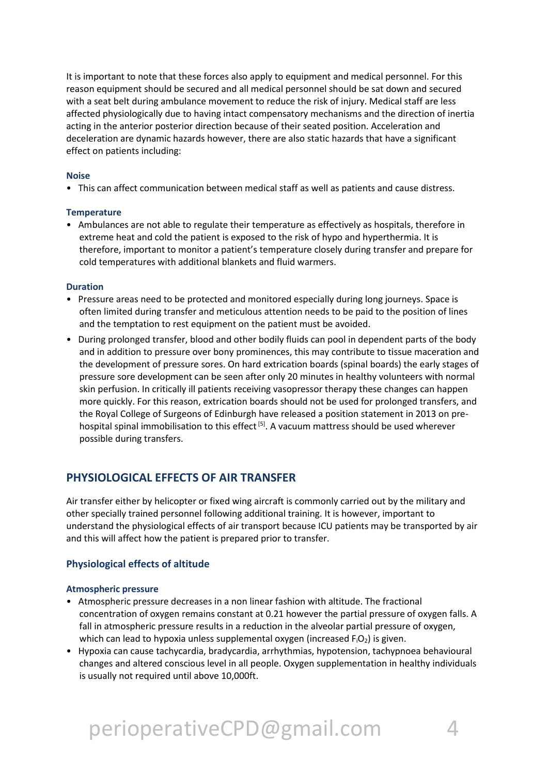It is important to note that these forces also apply to equipment and medical personnel. For this reason equipment should be secured and all medical personnel should be sat down and secured with a seat belt during ambulance movement to reduce the risk of injury. Medical staff are less affected physiologically due to having intact compensatory mechanisms and the direction of inertia acting in the anterior posterior direction because of their seated position. Acceleration and deceleration are dynamic hazards however, there are also static hazards that have a significant effect on patients including:

#### **Noise**

• This can affect communication between medical staff as well as patients and cause distress.

#### **Temperature**

• Ambulances are not able to regulate their temperature as effectively as hospitals, therefore in extreme heat and cold the patient is exposed to the risk of hypo and hyperthermia. It is therefore, important to monitor a patient's temperature closely during transfer and prepare for cold temperatures with additional blankets and fluid warmers.

#### **Duration**

- Pressure areas need to be protected and monitored especially during long journeys. Space is often limited during transfer and meticulous attention needs to be paid to the position of lines and the temptation to rest equipment on the patient must be avoided.
- During prolonged transfer, blood and other bodily fluids can pool in dependent parts of the body and in addition to pressure over bony prominences, this may contribute to tissue maceration and the development of pressure sores. On hard extrication boards (spinal boards) the early stages of pressure sore development can be seen after only 20 minutes in healthy volunteers with normal skin perfusion. In critically ill patients receiving vasopressor therapy these changes can happen more quickly. For this reason, extrication boards should not be used for prolonged transfers, and the Royal College of Surgeons of Edinburgh have released a position statement in 2013 on prehospital spinal immobilisation to this effect<sup>[5]</sup>. A vacuum mattress should be used wherever possible during transfers.

### **PHYSIOLOGICAL EFFECTS OF AIR TRANSFER**

Air transfer either by helicopter or fixed wing aircraft is commonly carried out by the military and other specially trained personnel following additional training. It is however, important to understand the physiological effects of air transport because ICU patients may be transported by air and this will affect how the patient is prepared prior to transfer.

#### **Physiological effects of altitude**

#### **Atmospheric pressure**

- Atmospheric pressure decreases in a non linear fashion with altitude. The fractional concentration of oxygen remains constant at 0.21 however the partial pressure of oxygen falls. A fall in atmospheric pressure results in a reduction in the alveolar partial pressure of oxygen, which can lead to hypoxia unless supplemental oxygen (increased  $F_1O_2$ ) is given.
- Hypoxia can cause tachycardia, bradycardia, arrhythmias, hypotension, tachypnoea behavioural changes and altered conscious level in all people. Oxygen supplementation in healthy individuals is usually not required until above 10,000ft.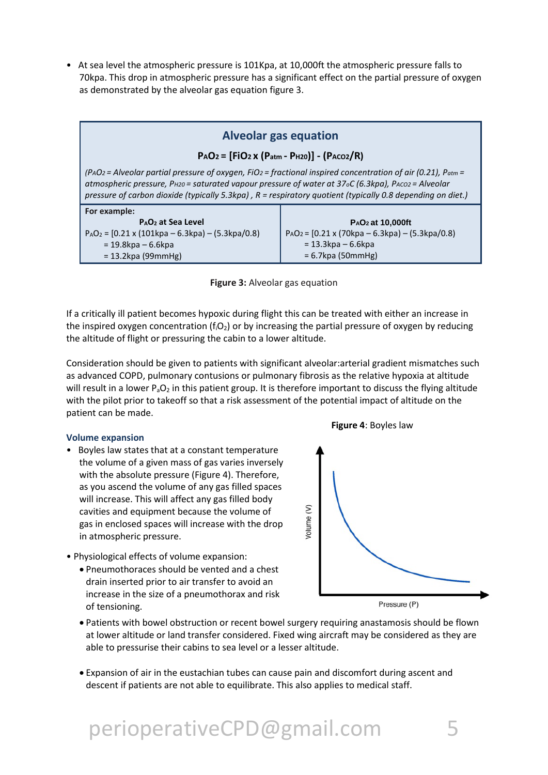• At sea level the atmospheric pressure is 101Kpa, at 10,000ft the atmospheric pressure falls to 70kpa. This drop in atmospheric pressure has a significant effect on the partial pressure of oxygen as demonstrated by the alveolar gas equation figure 3.

### **Alveolar gas equation**

#### **PAO2 = [FiO2 x (Patm - PH20)] - (PACO2/R)**

*(PAO2 = Alveolar partial pressure of oxygen, FiO2 = fractional inspired concentration of air (0.21), Patm = atmospheric pressure, PH20 = saturated vapour pressure of water at 37oC (6.3kpa), PACO2 = Alveolar pressure of carbon dioxide (typically 5.3kpa) , R = respiratory quotient (typically 0.8 depending on diet.)*

| For example:                                              |                                                         |
|-----------------------------------------------------------|---------------------------------------------------------|
| P <sub>A</sub> O <sub>2</sub> at Sea Level                | P <sub>A</sub> O <sub>2</sub> at 10,000ft               |
| $P_AO_2 = [0.21 \times (101kpa - 6.3kpa) - (5.3kpa/0.8)]$ | $PAO_2 = [0.21 \times (70kpa - 6.3kpa) - (5.3kpa/0.8)]$ |
| = 19.8kpa – 6.6kpa                                        | $= 13.3$ kpa – 6.6kpa                                   |
| $= 13.2$ kpa (99mmHg)                                     | $= 6.7$ kpa (50mmHg)                                    |



If a critically ill patient becomes hypoxic during flight this can be treated with either an increase in the inspired oxygen concentration ( $f_iO_2$ ) or by increasing the partial pressure of oxygen by reducing the altitude of flight or pressuring the cabin to a lower altitude.

Consideration should be given to patients with significant alveolar:arterial gradient mismatches such as advanced COPD, pulmonary contusions or pulmonary fibrosis as the relative hypoxia at altitude will result in a lower  $P_aO_2$  in this patient group. It is therefore important to discuss the flying altitude with the pilot prior to takeoff so that a risk assessment of the potential impact of altitude on the patient can be made.

#### **Volume expansion**

- Boyles law states that at a constant temperature the volume of a given mass of gas varies inversely with the absolute pressure (Figure 4). Therefore, as you ascend the volume of any gas filled spaces will increase. This will affect any gas filled body cavities and equipment because the volume of gas in enclosed spaces will increase with the drop in atmospheric pressure.
- Physiological effects of volume expansion:
	- Pneumothoraces should be vented and a chest drain inserted prior to air transfer to avoid an increase in the size of a pneumothorax and risk of tensioning.



- Patients with bowel obstruction or recent bowel surgery requiring anastamosis should be flown at lower altitude or land transfer considered. Fixed wing aircraft may be considered as they are able to pressurise their cabins to sea level or a lesser altitude.
- Expansion of air in the eustachian tubes can cause pain and discomfort during ascent and descent if patients are not able to equilibrate. This also applies to medical staff.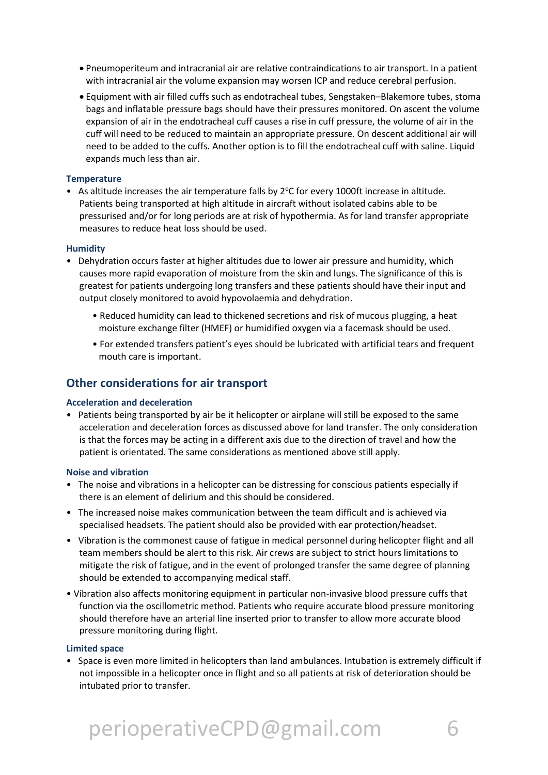- Pneumoperiteum and intracranial air are relative contraindications to air transport. In a patient with intracranial air the volume expansion may worsen ICP and reduce cerebral perfusion.
- Equipment with air filled cuffs such as endotracheal tubes, Sengstaken–Blakemore tubes, stoma bags and inflatable pressure bags should have their pressures monitored. On ascent the volume expansion of air in the endotracheal cuff causes a rise in cuff pressure, the volume of air in the cuff will need to be reduced to maintain an appropriate pressure. On descent additional air will need to be added to the cuffs. Another option is to fill the endotracheal cuff with saline. Liquid expands much less than air.

#### **Temperature**

• As altitude increases the air temperature falls by 2°C for every 1000ft increase in altitude. Patients being transported at high altitude in aircraft without isolated cabins able to be pressurised and/or for long periods are at risk of hypothermia. As for land transfer appropriate measures to reduce heat loss should be used.

#### **Humidity**

- Dehydration occurs faster at higher altitudes due to lower air pressure and humidity, which causes more rapid evaporation of moisture from the skin and lungs. The significance of this is greatest for patients undergoing long transfers and these patients should have their input and output closely monitored to avoid hypovolaemia and dehydration.
	- Reduced humidity can lead to thickened secretions and risk of mucous plugging, a heat moisture exchange filter (HMEF) or humidified oxygen via a facemask should be used.
	- For extended transfers patient's eyes should be lubricated with artificial tears and frequent mouth care is important.

### **Other considerations for air transport**

#### **Acceleration and deceleration**

• Patients being transported by air be it helicopter or airplane will still be exposed to the same acceleration and deceleration forces as discussed above for land transfer. The only consideration is that the forces may be acting in a different axis due to the direction of travel and how the patient is orientated. The same considerations as mentioned above still apply.

#### **Noise and vibration**

- The noise and vibrations in a helicopter can be distressing for conscious patients especially if there is an element of delirium and this should be considered.
- The increased noise makes communication between the team difficult and is achieved via specialised headsets. The patient should also be provided with ear protection/headset.
- Vibration is the commonest cause of fatigue in medical personnel during helicopter flight and all team members should be alert to this risk. Air crews are subject to strict hours limitations to mitigate the risk of fatigue, and in the event of prolonged transfer the same degree of planning should be extended to accompanying medical staff.
- Vibration also affects monitoring equipment in particular non-invasive blood pressure cuffs that function via the oscillometric method. Patients who require accurate blood pressure monitoring should therefore have an arterial line inserted prior to transfer to allow more accurate blood pressure monitoring during flight.

#### **Limited space**

• Space is even more limited in helicopters than land ambulances. Intubation is extremely difficult if not impossible in a helicopter once in flight and so all patients at risk of deterioration should be intubated prior to transfer.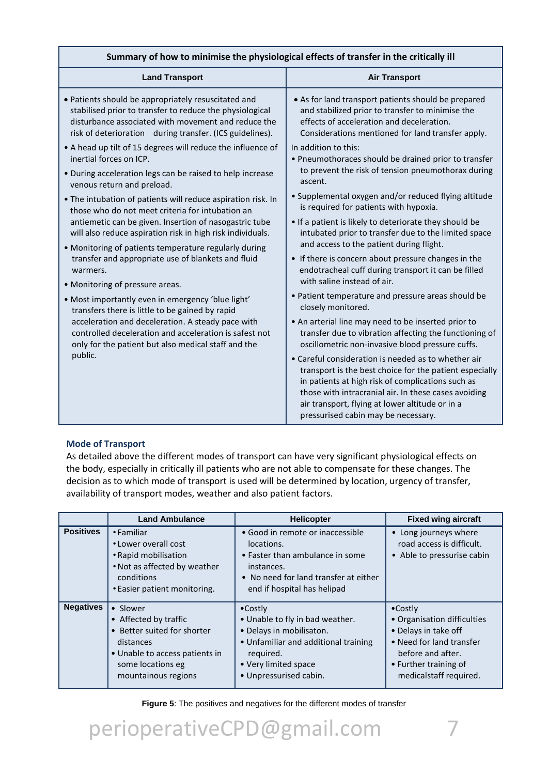| Summary of how to minimise the physiological effects of transfer in the critically ill |                                                                                                                                                                                                                                                                                                                       |  |  |  |
|----------------------------------------------------------------------------------------|-----------------------------------------------------------------------------------------------------------------------------------------------------------------------------------------------------------------------------------------------------------------------------------------------------------------------|--|--|--|
| <b>Land Transport</b>                                                                  | <b>Air Transport</b>                                                                                                                                                                                                                                                                                                  |  |  |  |
| • Patients should be appropriately resuscitated and                                    | • As for land transport patients should be prepared                                                                                                                                                                                                                                                                   |  |  |  |
| stabilised prior to transfer to reduce the physiological                               | and stabilized prior to transfer to minimise the                                                                                                                                                                                                                                                                      |  |  |  |
| disturbance associated with movement and reduce the                                    | effects of acceleration and deceleration.                                                                                                                                                                                                                                                                             |  |  |  |
| risk of deterioration during transfer. (ICS guidelines).                               | Considerations mentioned for land transfer apply.                                                                                                                                                                                                                                                                     |  |  |  |
| • A head up tilt of 15 degrees will reduce the influence of                            | In addition to this:                                                                                                                                                                                                                                                                                                  |  |  |  |
| inertial forces on ICP.                                                                | • Pneumothoraces should be drained prior to transfer                                                                                                                                                                                                                                                                  |  |  |  |
| • During acceleration legs can be raised to help increase                              | to prevent the risk of tension pneumothorax during                                                                                                                                                                                                                                                                    |  |  |  |
| venous return and preload.                                                             | ascent.                                                                                                                                                                                                                                                                                                               |  |  |  |
| • The intubation of patients will reduce aspiration risk. In                           | • Supplemental oxygen and/or reduced flying altitude                                                                                                                                                                                                                                                                  |  |  |  |
| those who do not meet criteria for intubation an                                       | is required for patients with hypoxia.                                                                                                                                                                                                                                                                                |  |  |  |
| antiemetic can be given. Insertion of nasogastric tube                                 | • If a patient is likely to deteriorate they should be                                                                                                                                                                                                                                                                |  |  |  |
| will also reduce aspiration risk in high risk individuals.                             | intubated prior to transfer due to the limited space                                                                                                                                                                                                                                                                  |  |  |  |
| • Monitoring of patients temperature regularly during                                  | and access to the patient during flight.                                                                                                                                                                                                                                                                              |  |  |  |
| transfer and appropriate use of blankets and fluid                                     | If there is concern about pressure changes in the                                                                                                                                                                                                                                                                     |  |  |  |
| warmers.                                                                               | endotracheal cuff during transport it can be filled                                                                                                                                                                                                                                                                   |  |  |  |
| • Monitoring of pressure areas.                                                        | with saline instead of air.                                                                                                                                                                                                                                                                                           |  |  |  |
| . Most importantly even in emergency 'blue light'                                      | • Patient temperature and pressure areas should be                                                                                                                                                                                                                                                                    |  |  |  |
| transfers there is little to be gained by rapid                                        | closely monitored.                                                                                                                                                                                                                                                                                                    |  |  |  |
| acceleration and deceleration. A steady pace with                                      | • An arterial line may need to be inserted prior to                                                                                                                                                                                                                                                                   |  |  |  |
| controlled deceleration and acceleration is safest not                                 | transfer due to vibration affecting the functioning of                                                                                                                                                                                                                                                                |  |  |  |
| only for the patient but also medical staff and the                                    | oscillometric non-invasive blood pressure cuffs.                                                                                                                                                                                                                                                                      |  |  |  |
| public.                                                                                | • Careful consideration is needed as to whether air<br>transport is the best choice for the patient especially<br>in patients at high risk of complications such as<br>those with intracranial air. In these cases avoiding<br>air transport, flying at lower altitude or in a<br>pressurised cabin may be necessary. |  |  |  |

#### **Mode of Transport**

As detailed above the different modes of transport can have very significant physiological effects on the body, especially in critically ill patients who are not able to compensate for these changes. The decision as to which mode of transport is used will be determined by location, urgency of transfer, availability of transport modes, weather and also patient factors.

|                  | <b>Land Ambulance</b>                                                                                                                                       | <b>Helicopter</b>                                                                                                                                                                      | <b>Fixed wing aircraft</b>                                                                                                                                                  |
|------------------|-------------------------------------------------------------------------------------------------------------------------------------------------------------|----------------------------------------------------------------------------------------------------------------------------------------------------------------------------------------|-----------------------------------------------------------------------------------------------------------------------------------------------------------------------------|
| <b>Positives</b> | • Familiar<br>• Lower overall cost<br>• Rapid mobilisation<br>. Not as affected by weather<br>conditions<br>• Easier patient monitoring.                    | • Good in remote or inaccessible<br>locations.<br>• Faster than ambulance in some<br>instances.<br>• No need for land transfer at either<br>end if hospital has helipad                | • Long journeys where<br>road access is difficult.<br>• Able to pressurise cabin                                                                                            |
| <b>Negatives</b> | • Slower<br>• Affected by traffic<br>• Better suited for shorter<br>distances<br>• Unable to access patients in<br>some locations eg<br>mountainous regions | $\bullet$ Costly<br>• Unable to fly in bad weather.<br>· Delays in mobilisaton.<br>• Unfamiliar and additional training<br>required.<br>• Very limited space<br>• Unpressurised cabin. | $\bullet$ Costly<br>• Organisation difficulties<br>• Delays in take off<br>• Need for land transfer<br>before and after.<br>• Further training of<br>medicalstaff required. |

**Figure 5**: The positives and negatives for the different modes of transfer